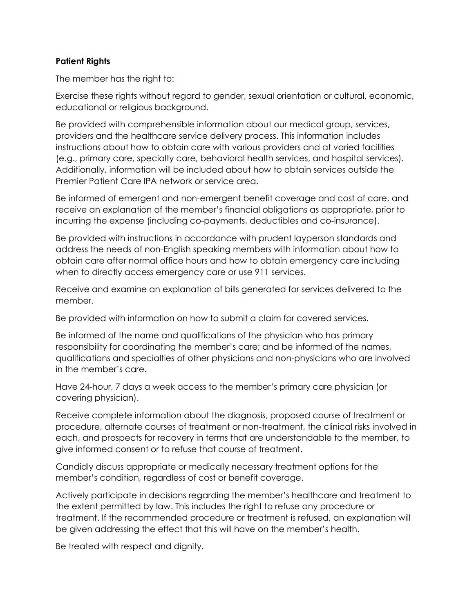## **Patient Rights**

The member has the right to:

Exercise these rights without regard to gender, sexual orientation or cultural, economic, educational or religious background.

Be provided with comprehensible information about our medical group, services, providers and the healthcare service delivery process. This information includes instructions about how to obtain care with various providers and at varied facilities (e.g., primary care, specialty care, behavioral health services, and hospital services). Additionally, information will be included about how to obtain services outside the Premier Patient Care IPA network or service area.

Be informed of emergent and non-emergent benefit coverage and cost of care, and receive an explanation of the member's financial obligations as appropriate, prior to incurring the expense (including co-payments, deductibles and co-insurance).

Be provided with instructions in accordance with prudent layperson standards and address the needs of non-English speaking members with information about how to obtain care after normal office hours and how to obtain emergency care including when to directly access emergency care or use 911 services.

Receive and examine an explanation of bills generated for services delivered to the member.

Be provided with information on how to submit a claim for covered services.

Be informed of the name and qualifications of the physician who has primary responsibility for coordinating the member's care; and be informed of the names, qualifications and specialties of other physicians and non-physicians who are involved in the member's care.

Have 24-hour, 7 days a week access to the member's primary care physician (or covering physician).

Receive complete information about the diagnosis, proposed course of treatment or procedure, alternate courses of treatment or non-treatment, the clinical risks involved in each, and prospects for recovery in terms that are understandable to the member, to give informed consent or to refuse that course of treatment.

Candidly discuss appropriate or medically necessary treatment options for the member's condition, regardless of cost or benefit coverage.

Actively participate in decisions regarding the member's healthcare and treatment to the extent permitted by law. This includes the right to refuse any procedure or treatment. If the recommended procedure or treatment is refused, an explanation will be given addressing the effect that this will have on the member's health.

Be treated with respect and dignity.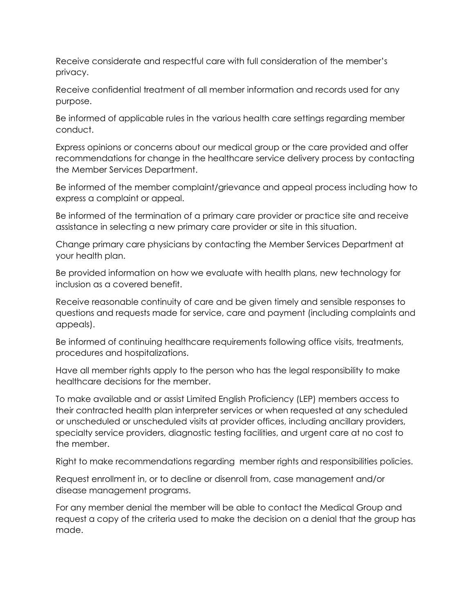Receive considerate and respectful care with full consideration of the member's privacy.

Receive confidential treatment of all member information and records used for any purpose.

Be informed of applicable rules in the various health care settings regarding member conduct.

Express opinions or concerns about our medical group or the care provided and offer recommendations for change in the healthcare service delivery process by contacting the Member Services Department.

Be informed of the member complaint/grievance and appeal process including how to express a complaint or appeal.

Be informed of the termination of a primary care provider or practice site and receive assistance in selecting a new primary care provider or site in this situation.

Change primary care physicians by contacting the Member Services Department at your health plan.

Be provided information on how we evaluate with health plans, new technology for inclusion as a covered benefit.

Receive reasonable continuity of care and be given timely and sensible responses to questions and requests made for service, care and payment (including complaints and appeals).

Be informed of continuing healthcare requirements following office visits, treatments, procedures and hospitalizations.

Have all member rights apply to the person who has the legal responsibility to make healthcare decisions for the member.

To make available and or assist Limited English Proficiency (LEP) members access to their contracted health plan interpreter services or when requested at any scheduled or unscheduled or unscheduled visits at provider offices, including ancillary providers, specialty service providers, diagnostic testing facilities, and urgent care at no cost to the member.

Right to make recommendations regarding member rights and responsibilities policies.

Request enrollment in, or to decline or disenroll from, case management and/or disease management programs.

For any member denial the member will be able to contact the Medical Group and request a copy of the criteria used to make the decision on a denial that the group has made.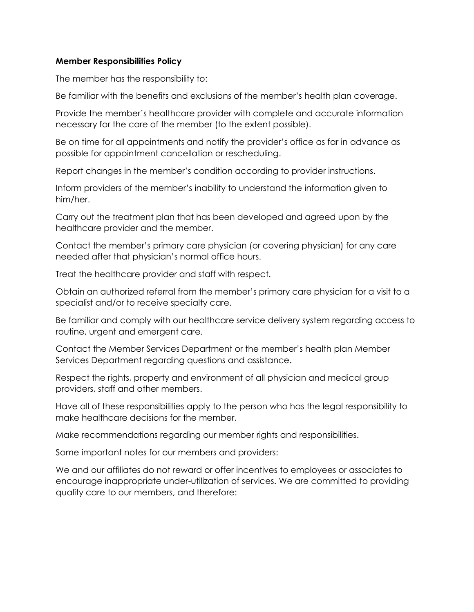## **Member Responsibilities Policy**

The member has the responsibility to:

Be familiar with the benefits and exclusions of the member's health plan coverage.

Provide the member's healthcare provider with complete and accurate information necessary for the care of the member (to the extent possible).

Be on time for all appointments and notify the provider's office as far in advance as possible for appointment cancellation or rescheduling.

Report changes in the member's condition according to provider instructions.

Inform providers of the member's inability to understand the information given to him/her.

Carry out the treatment plan that has been developed and agreed upon by the healthcare provider and the member.

Contact the member's primary care physician (or covering physician) for any care needed after that physician's normal office hours.

Treat the healthcare provider and staff with respect.

Obtain an authorized referral from the member's primary care physician for a visit to a specialist and/or to receive specialty care.

Be familiar and comply with our healthcare service delivery system regarding access to routine, urgent and emergent care.

Contact the Member Services Department or the member's health plan Member Services Department regarding questions and assistance.

Respect the rights, property and environment of all physician and medical group providers, staff and other members.

Have all of these responsibilities apply to the person who has the legal responsibility to make healthcare decisions for the member.

Make recommendations regarding our member rights and responsibilities.

Some important notes for our members and providers:

We and our affiliates do not reward or offer incentives to employees or associates to encourage inappropriate under-utilization of services. We are committed to providing quality care to our members, and therefore: